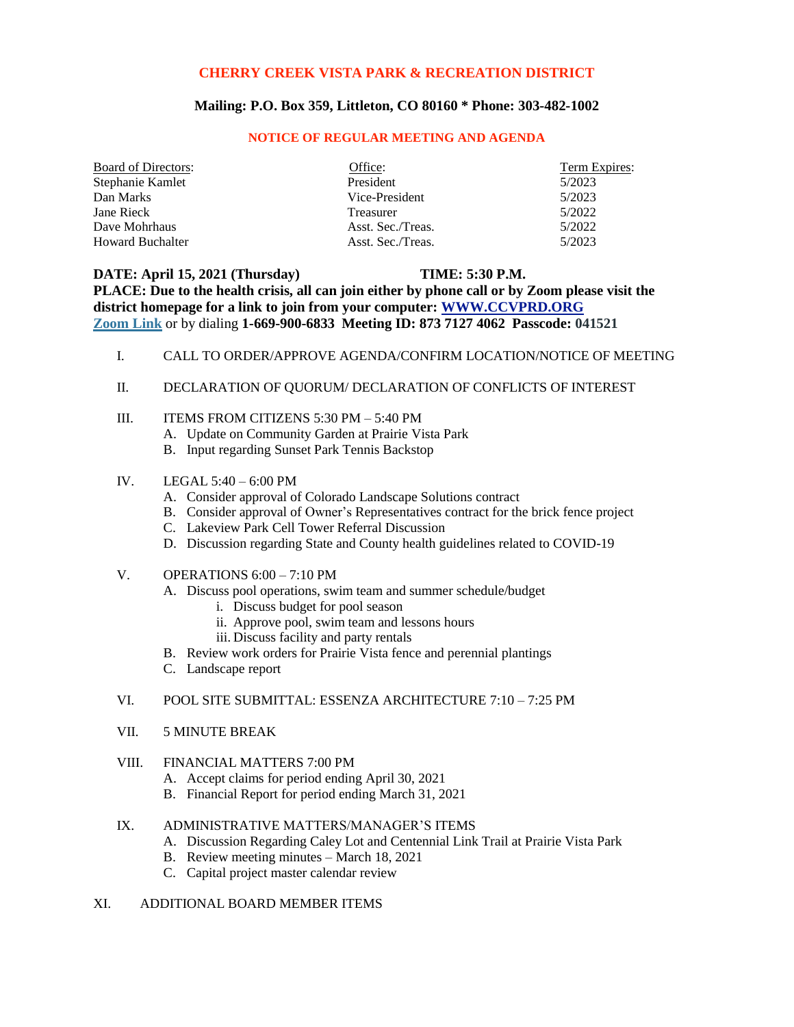## **CHERRY CREEK VISTA PARK & RECREATION DISTRICT**

## **Mailing: P.O. Box 359, Littleton, CO 80160 \* Phone: 303-482-1002**

#### **NOTICE OF REGULAR MEETING AND AGENDA**

| <b>Board of Directors:</b> | Office:           | Term Expires: |
|----------------------------|-------------------|---------------|
| Stephanie Kamlet           | President         | 5/2023        |
| Dan Marks                  | Vice-President    | 5/2023        |
| Jane Rieck                 | Treasurer         | 5/2022        |
| Dave Mohrhaus              | Asst. Sec./Treas. | 5/2022        |
| <b>Howard Buchalter</b>    | Asst. Sec./Treas. | 5/2023        |

## **DATE: April 15, 2021 (Thursday) TIME: 5:30 P.M.** PLACE: Due to the health crisis, all can join either by phone call or by Zoom please visit the **district homepage for a link to join from your computer: [WWW.CCVPRD.ORG](http://www.ccvprd.org/)**

| Zoom Link or by dialing 1-669-900-6833 Meeting ID: 873 7127 4062 Passcode: 041521 |                |                                                                                                                                                                                                                                                                                                                                  |
|-----------------------------------------------------------------------------------|----------------|----------------------------------------------------------------------------------------------------------------------------------------------------------------------------------------------------------------------------------------------------------------------------------------------------------------------------------|
|                                                                                   | $\mathbf{I}$ . | CALL TO ORDER/APPROVE AGENDA/CONFIRM LOCATION/NOTICE OF MEETING                                                                                                                                                                                                                                                                  |
|                                                                                   | П.             | DECLARATION OF QUORUM/ DECLARATION OF CONFLICTS OF INTEREST                                                                                                                                                                                                                                                                      |
|                                                                                   | Ш.             | ITEMS FROM CITIZENS 5:30 PM - 5:40 PM<br>A. Update on Community Garden at Prairie Vista Park<br>B. Input regarding Sunset Park Tennis Backstop                                                                                                                                                                                   |
|                                                                                   | IV.            | LEGAL $5:40 - 6:00$ PM<br>A. Consider approval of Colorado Landscape Solutions contract<br>B. Consider approval of Owner's Representatives contract for the brick fence project<br>C. Lakeview Park Cell Tower Referral Discussion<br>D. Discussion regarding State and County health guidelines related to COVID-19             |
|                                                                                   | V.             | OPERATIONS $6:00 - 7:10$ PM<br>A. Discuss pool operations, swim team and summer schedule/budget<br>i. Discuss budget for pool season<br>ii. Approve pool, swim team and lessons hours<br>iii. Discuss facility and party rentals<br>B. Review work orders for Prairie Vista fence and perennial plantings<br>C. Landscape report |
|                                                                                   | VI.            | POOL SITE SUBMITTAL: ESSENZA ARCHITECTURE 7:10 – 7:25 PM                                                                                                                                                                                                                                                                         |
|                                                                                   | VII.           | <b>5 MINUTE BREAK</b>                                                                                                                                                                                                                                                                                                            |
|                                                                                   | VIII.          | <b>FINANCIAL MATTERS 7:00 PM</b><br>A. Accept claims for period ending April 30, 2021<br>B. Financial Report for period ending March 31, 2021                                                                                                                                                                                    |
|                                                                                   |                |                                                                                                                                                                                                                                                                                                                                  |

# IX. ADMINISTRATIVE MATTERS/MANAGER'S ITEMS

- A. Discussion Regarding Caley Lot and Centennial Link Trail at Prairie Vista Park
- B. Review meeting minutes March 18, 2021
- C. Capital project master calendar review
- XI. ADDITIONAL BOARD MEMBER ITEMS